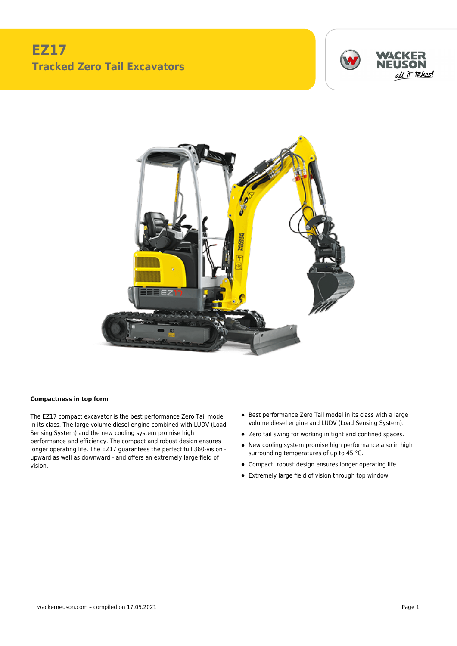## **EZ17 Tracked Zero Tail Excavators**





## **Compactness in top form**

The EZ17 compact excavator is the best performance Zero Tail model in its class. The large volume diesel engine combined with LUDV (Load Sensing System) and the new cooling system promise high performance and efficiency. The compact and robust design ensures longer operating life. The EZ17 guarantees the perfect full 360-vision upward as well as downward - and offers an extremely large field of vision.

- Best performance Zero Tail model in its class with a large volume diesel engine and LUDV (Load Sensing System).
- Zero tail swing for working in tight and confined spaces.
- New cooling system promise high performance also in high surrounding temperatures of up to 45 °C.
- Compact, robust design ensures longer operating life.
- Extremely large field of vision through top window.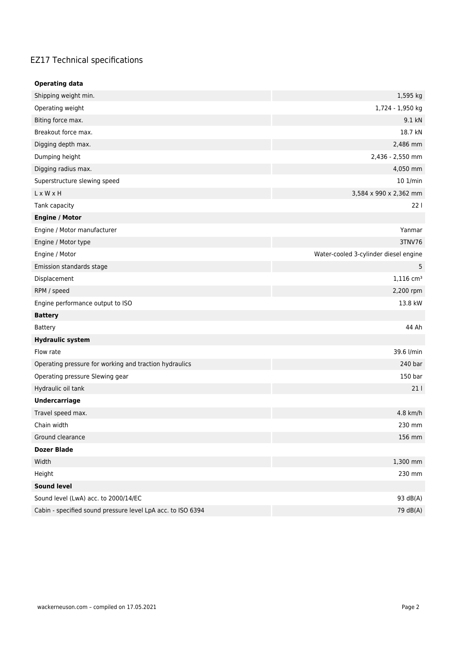## EZ17 Technical specifications

| <b>Operating data</b>                                       |                                       |  |  |
|-------------------------------------------------------------|---------------------------------------|--|--|
| Shipping weight min.                                        | 1,595 kg                              |  |  |
| Operating weight                                            | 1,724 - 1,950 kg                      |  |  |
| Biting force max.                                           | 9.1 kN                                |  |  |
| Breakout force max.                                         | 18.7 kN                               |  |  |
| Digging depth max.                                          | 2,486 mm                              |  |  |
| Dumping height                                              | 2,436 - 2,550 mm                      |  |  |
| Digging radius max.                                         | 4,050 mm                              |  |  |
| Superstructure slewing speed                                | 10 1/min                              |  |  |
| $L \times W \times H$                                       | 3,584 x 990 x 2,362 mm                |  |  |
| Tank capacity                                               | 221                                   |  |  |
| <b>Engine / Motor</b>                                       |                                       |  |  |
| Engine / Motor manufacturer                                 | Yanmar                                |  |  |
| Engine / Motor type                                         | 3TNV76                                |  |  |
| Engine / Motor                                              | Water-cooled 3-cylinder diesel engine |  |  |
| Emission standards stage                                    | 5                                     |  |  |
| Displacement                                                | $1,116$ cm <sup>3</sup>               |  |  |
| RPM / speed                                                 | 2,200 rpm                             |  |  |
| Engine performance output to ISO                            | 13.8 kW                               |  |  |
| <b>Battery</b>                                              |                                       |  |  |
| Battery                                                     | 44 Ah                                 |  |  |
| <b>Hydraulic system</b>                                     |                                       |  |  |
| Flow rate                                                   | 39.6 l/min                            |  |  |
| Operating pressure for working and traction hydraulics      | 240 bar                               |  |  |
| Operating pressure Slewing gear                             | 150 bar                               |  |  |
| Hydraulic oil tank                                          | 211                                   |  |  |
| <b>Undercarriage</b>                                        |                                       |  |  |
| Travel speed max.                                           | 4.8 km/h                              |  |  |
| Chain width                                                 | 230 mm                                |  |  |
| Ground clearance                                            | 156 mm                                |  |  |
| <b>Dozer Blade</b>                                          |                                       |  |  |
| Width                                                       | 1,300 mm                              |  |  |
| Height                                                      | 230 mm                                |  |  |
| <b>Sound level</b>                                          |                                       |  |  |
| Sound level (LwA) acc. to 2000/14/EC                        | 93 dB(A)                              |  |  |
| Cabin - specified sound pressure level LpA acc. to ISO 6394 | 79 dB(A)                              |  |  |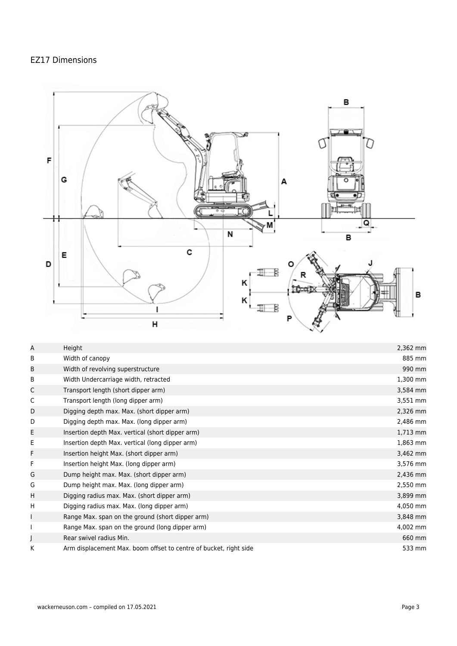## EZ17 Dimensions



| Α | Height                                                            | 2,362 mm |
|---|-------------------------------------------------------------------|----------|
| B | Width of canopy                                                   | 885 mm   |
| В | Width of revolving superstructure                                 | 990 mm   |
| B | Width Undercarriage width, retracted                              | 1,300 mm |
| C | Transport length (short dipper arm)                               | 3,584 mm |
| C | Transport length (long dipper arm)                                | 3,551 mm |
| D | Digging depth max. Max. (short dipper arm)                        | 2,326 mm |
| D | Digging depth max. Max. (long dipper arm)                         | 2,486 mm |
| Е | Insertion depth Max. vertical (short dipper arm)                  | 1,713 mm |
| Е | Insertion depth Max. vertical (long dipper arm)                   | 1,863 mm |
| F | Insertion height Max. (short dipper arm)                          | 3,462 mm |
| F | Insertion height Max. (long dipper arm)                           | 3,576 mm |
| G | Dump height max. Max. (short dipper arm)                          | 2,436 mm |
| G | Dump height max. Max. (long dipper arm)                           | 2,550 mm |
| H | Digging radius max. Max. (short dipper arm)                       | 3,899 mm |
| H | Digging radius max. Max. (long dipper arm)                        | 4,050 mm |
|   | Range Max. span on the ground (short dipper arm)                  | 3,848 mm |
|   | Range Max. span on the ground (long dipper arm)                   | 4,002 mm |
|   | Rear swivel radius Min.                                           | 660 mm   |
| K | Arm displacement Max. boom offset to centre of bucket, right side | 533 mm   |